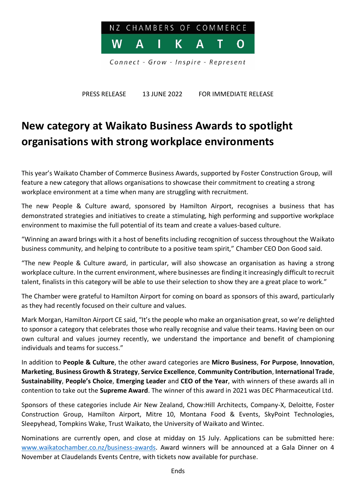

PRESS RELEASE 13 JUNE 2022 FOR IMMEDIATE RELEASE

## **New category at Waikato Business Awards to spotlight organisations with strong workplace environments**

This year's Waikato Chamber of Commerce Business Awards, supported by Foster Construction Group, will feature a new category that allows organisations to showcase their commitment to creating a strong workplace environment at a time when many are struggling with recruitment.

The new People & Culture award, sponsored by Hamilton Airport, recognises a business that has demonstrated strategies and initiatives to create a stimulating, high performing and supportive workplace environment to maximise the full potential of its team and create a values-based culture.

"Winning an award brings with it a host of benefits including recognition of success throughout the Waikato business community, and helping to contribute to a positive team spirit," Chamber CEO Don Good said.

"The new People & Culture award, in particular, will also showcase an organisation as having a strong workplace culture. In the current environment, where businesses are finding it increasingly difficult to recruit talent, finalists in this category will be able to use their selection to show they are a great place to work."

The Chamber were grateful to Hamilton Airport for coming on board as sponsors of this award, particularly as they had recently focused on their culture and values.

Mark Morgan, Hamilton Airport CE said, "It's the people who make an organisation great, so we're delighted to sponsor a category that celebrates those who really recognise and value their teams. Having been on our own cultural and values journey recently, we understand the importance and benefit of championing individuals and teams for success."

In addition to **People & Culture**, the other award categories are **Micro Business**, **For Purpose**, **Innovation**, **Marketing**, **Business Growth & Strategy**, **Service Excellence**, **Community Contribution**, **International Trade**, **Sustainability**, **People's Choice**, **Emerging Leader** and **CEO of the Year**, with winners of these awards all in contention to take out the **Supreme Award**. The winner of this award in 2021 was DEC Pharmaceutical Ltd.

Sponsors of these categories include Air New Zealand, Chow:Hill Architects, Company-X, Deloitte, Foster Construction Group, Hamilton Airport, Mitre 10, Montana Food & Events, SkyPoint Technologies, Sleepyhead, Tompkins Wake, Trust Waikato, the University of Waikato and Wintec.

Nominations are currently open, and close at midday on 15 July. Applications can be submitted here: [www.waikatochamber.co.nz/business-awards.](http://www.waikatochamber.co.nz/business-awards) Award winners will be announced at a Gala Dinner on 4 November at Claudelands Events Centre, with tickets now available for purchase.